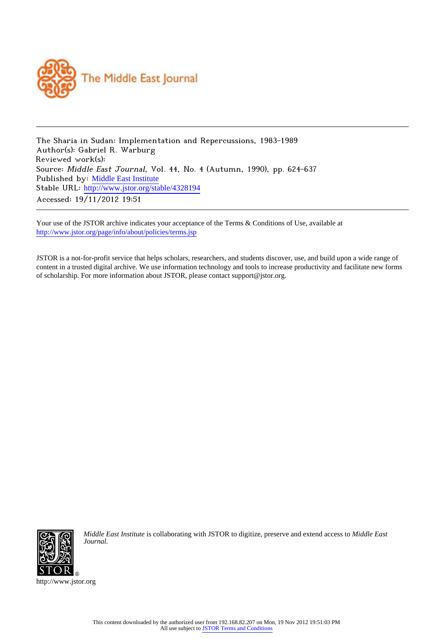

The Sharia in Sudan: Implementation and Repercussions, 1983-1989 Author(s): Gabriel R. Warburg Reviewed work(s): Source: Middle East Journal, Vol. 44, No. 4 (Autumn, 1990), pp. 624-637 Published by: [Middle East Institute](http://www.jstor.org/action/showPublisher?publisherCode=mei) Stable URL: [http://www.jstor.org/stable/4328194](http://www.jstor.org/stable/4328194?origin=JSTOR-pdf) Accessed: 19/11/2012 19:51

Your use of the JSTOR archive indicates your acceptance of the Terms & Conditions of Use, available at <http://www.jstor.org/page/info/about/policies/terms.jsp>

JSTOR is a not-for-profit service that helps scholars, researchers, and students discover, use, and build upon a wide range of content in a trusted digital archive. We use information technology and tools to increase productivity and facilitate new forms of scholarship. For more information about JSTOR, please contact support@jstor.org.



*Middle East Institute* is collaborating with JSTOR to digitize, preserve and extend access to *Middle East Journal.*

http://www.jstor.org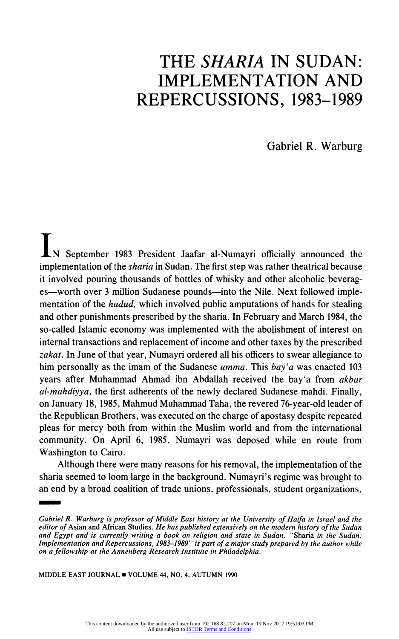# **THE SHARIA IN SUDAN: IMPLEMENTATION AND REPERCUSSIONS, 1983-1989**

**Gabriel R. Warburg** 

**IN September 1983 President Jaafar al-Numayri officially announced the September 1983 President Jaafar al-Numayri officially announced the implementation of the sharia in Sudan. The first step was rather theatrical because it involved pouring thousands of bottles of whisky and other alcoholic beverag**es—worth over 3 million Sudanese pounds—into the Nile. Next followed imple**mentation of the hudud, which involved public amputations of hands for stealing and other punishments prescribed by the sharia. In February and March 1984, the so-called Islamic economy was implemented with the abolishment of interest on internal transactions and replacement of income and other taxes by the prescribed zakat. In June of that year, Numayri ordered all his officers to swear allegiance to him personally as the imam of the Sudanese umma. This bay'a was enacted 103 years after Muhammad Ahmad ibn Abdallah received the bay'a from akbar al-mahdiyya, the first adherents of the newly declared Sudanese mahdi. Finally, on January 18, 1985, Mahmud Muhammad Taha, the revered 76-year-old leader of the Republican Brothers, was executed on the charge of apostasy despite repeated pleas for mercy both from within the Muslim world and from the international community. On April 6, 1985, Numayri was deposed while en route from Washington to Cairo.** 

**Although there were many reasons for his removal, the implementation of the sharia seemed to loom large in the background. Numayri's regime was brought to an end by a broad coalition of trade unions, professionals, student organizations,** 

**MIDDLE EAST JOURNAL \* VOLUME 44, NO. 4, AUTUMN 1990** 

**Gabriel R. Warburg is professor of Middle East history at the University of Haifa in Israel and the editor of Asian and African Studies. He has published extensively on the modern history of the Sudan and Egypt and is currently writing a book on religion and state in Sudan. "Sharia in the Sudan: Implementation and Repercussions, 1983-1989" is part of a major study prepared by the author while on a fellowship at the Annenberg Research Institute in Philadelphia.**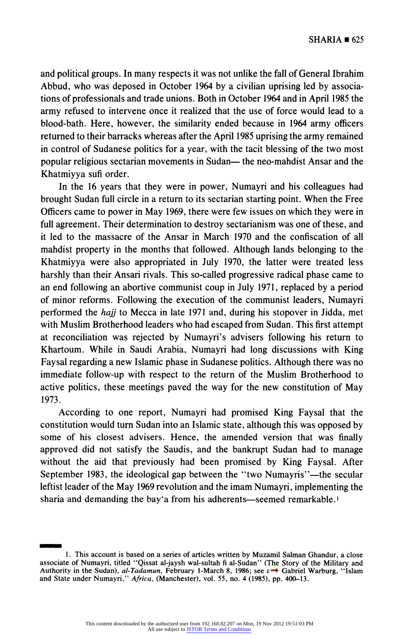**and political groups. In many respects it was not unlike the fall of General Ibrahim Abbud, who was deposed in October 1964 by a civilian uprising led by associations of professionals and trade unions. Both in October 1964 and in April 1985 the army refused to intervene once it realized that the use of force would lead to a blood-bath. Here, however, the similarity ended because in 1964 army officers returned to their barracks whereas after the April 1985 uprising the army remained in control of Sudanese politics for a year, with the tacit blessing of the two most popular religious sectarian movements in Sudan- the neo-mahdist Ansar and the Khatmiyya sufi order.** 

**In the 16 years that they were in power, Numayri and his colleagues had brought Sudan full circle in a return to its sectarian starting point. When the Free Officers came to power in May 1969, there were few issues on which they were in full agreement. Their determination to destroy sectarianism was one of these, and it led to the massacre of the Ansar in March 1970 and the confiscation of all mahdist property in the months that followed. Although lands belonging to the Khatmiyya were also appropriated in July 1970, the latter were treated less harshly than their Ansari rivals. This so-called progressive radical phase came to an end following an abortive communist coup in July 1971, replaced by a period of minor reforms. Following the execution of the communist leaders, Numayri performed the hajg to Mecca in late 1971 and, during his stopover in Jidda, met with Muslim Brotherhood leaders who had escaped from Sudan. This first attempt at reconciliation was rejected by Numayri's advisers following his return to Khartoum. While in Saudi Arabia, Numayri had long discussions with King Faysal regarding a new Islamic phase in Sudanese politics. Although there was no immediate follow-up with respect to the return of the Muslim Brotherhood to active politics, these meetings paved the way for the new constitution of May 1973.** 

**According to one report, Numayri had promised King Faysal that the constitution would turn Sudan into an Islamic state, although this was opposed by some of his closest advisers. Hence, the amended version that was finally approved did not satisfy the Saudis, and the bankrupt Sudan had to manage without the aid that previously had been promised by King Faysal. After**  September 1983, the ideological gap between the "two Numayris"—the secular **leftist leader of the May 1969 revolution and the imam Numayri, implementing the**  sharia and demanding the bay'a from his adherents—seemed remarkable.<sup>1</sup>

**<sup>1.</sup> This account is based on a series of articles written by Muzamil Salman Ghandur, a close associate of Numayri, titled "Qissat al-jaysh wal-sultah fi al-Sudan" (The Story of the Military and**  Authority in the Sudan), al-Tadamun, February 1-March 8, 1986; see a<sup>1</sup> Gabriel Warburg, "Islam **and State under Numayri," Africa, (Manchester), vol. 55, no. 4 (1985), pp. 400-13.**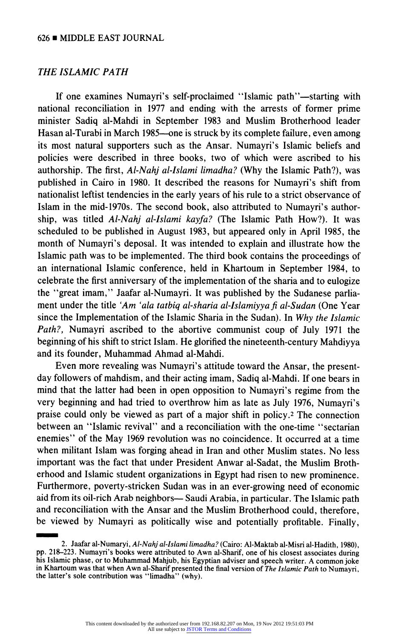## **THE ISLAMIC PATH**

If one examines Numayri's self-proclaimed "Islamic path"—starting with **national reconciliation in 1977 and ending with the arrests of former prime minister Sadiq al-Mahdi in September 1983 and Muslim Brotherhood leader**  Hasan al-Turabi in March 1985—one is struck by its complete failure, even among **its most natural supporters such as the Ansar. Numayri's Islamic beliefs and policies were described in three books, two of which were ascribed to his authorship. The first, Al-Nahj al-Islami limadha? (Why the Islamic Path?), was published in Cairo in 1980. It described the reasons for Numayri's shift from nationalist leftist tendencies in the early years of his rule to a strict observance of Islam in the mid-1970s. The second book, also attributed to Numayri's authorship, was titled Al-Nahj al-Islami kayfa? (The Islamic Path How?). It was scheduled to be published in August 1983, but appeared only in April 1985, the month of Numayri's deposal. It was intended to explain and illustrate how the Islamic path was to be implemented. The third book contains the proceedings of an international Islamic conference, held in Khartoum in September 1984, to celebrate the first anniversary of the implementation of the sharia and to eulogize the "great imam," Jaafar al-Numayri. It was published by the Sudanese parliament under the title 'Am 'ala tatbiq al-sharia al-Islamiyyafi al-Sudan (One Year since the Implementation of the Islamic Sharia in the Sudan). In Why the Islamic Path?, Numayri ascribed to the abortive communist coup of July 1971 the beginning of his shift to strict Islam. He glorified the nineteenth-century Mahdiyya and its founder, Muhammad Ahmad al-Mahdi.** 

**Even more revealing was Numayri's attitude toward the Ansar, the presentday followers of mahdism, and their acting imam, Sadiq al-Mahdi. If one bears in mind that the latter had been in open opposition to Numayri's regime from the very beginning and had tried to overthrow him as late as July 1976, Numayri's praise could only be viewed as part of a major shift in policy.2 The connection between an "Islamic revival" and a reconciliation with the one-time "sectarian enemies" of the May 1969 revolution was no coincidence. It occurred at a time when militant Islam was forging ahead in Iran and other Muslim states. No less important was the fact that under President Anwar al-Sadat, the Muslim Brotherhood and Islamic student organizations in Egypt had risen to new prominence. Furthermore, poverty-stricken Sudan was in an ever-growing need of economic aid from its oil-rich Arab neighbors- Saudi Arabia, in particular. The Islamic path and reconciliation with the Ansar and the Muslim Brotherhood could, therefore, be viewed by Numayri as politically wise and potentially profitable. Finally,** 

**<sup>2.</sup> Jaafar al-Numaryi, Al-Nahj al-Islami limadha? (Cairo: Al-Maktab al-Misri al-Hadith, 1980), pp. 218-223. Numayri's books were attributed to Awn al-Sharif, one of his closest associates during his Islamic phase, or to Muhammad Mahjub, his Egyptian adviser and speech writer. A common joke in Khartoum was that when Awn al-Sharif presented the final version of The Islamic Path to Numayri, the latter's sole contribution was "limadha" (why).**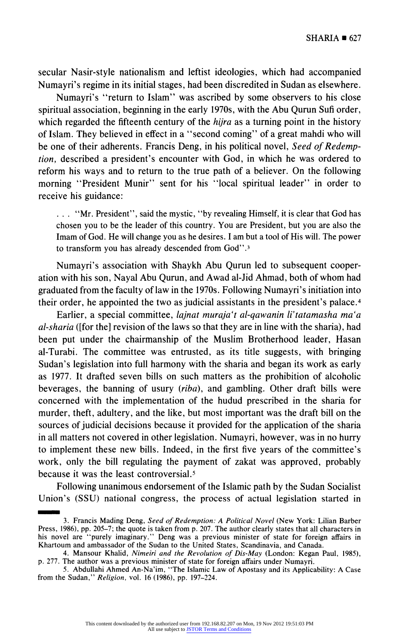**secular Nasir-style nationalism and leftist ideologies, which had accompanied Numayri's regime in its initial stages, had been discredited in Sudan as elsewhere.** 

**Numayri's "return to Islam" was ascribed by some observers to his close spiritual association, beginning in the early 1970s, with the Abu Qurun Sufi order, which regarded the fifteenth century of the hijra as a turning point in the history of Islam. They believed in effect in a "second coming" of a great mahdi who will be one of their adherents. Francis Deng, in his political novel, Seed of Redemption, described a president's encounter with God, in which he was ordered to reform his ways and to return to the true path of a believer. On the following morning "President Munir" sent for his "local spiritual leader" in order to receive his guidance:** 

**. . . "Mr. President", said the mystic, "by revealing Himself, it is clear that God has chosen you to be the leader of this country. You are President, but you are also the Imam of God. He will change you as he desires. I am but a tool of His will. The power to transform you has already descended from God'.3** 

**Numayri's association with Shaykh Abu Qurun led to subsequent cooperation with his son, Nayal Abu Qurun, and Awad al-Jid Ahmad, both of whom had graduated from the faculty of law in the 1970s. Following Numayri' s initiation into their order, he appointed the two as judicial assistants in the president's palace.4** 

**Earlier, a special committee, lajnat muraja't al-qawanin li'tatamasha ma'a al-sharia ([for the] revision of the laws so that they are in line with the sharia), had been put under the chairmanship of the Muslim Brotherhood leader, Hasan al-Turabi. The committee was entrusted, as its title suggests, with bringing Sudan's legislation into full harmony with the sharia and began its work as early as 1977. It drafted seven bills on such matters as the prohibition of alcoholic beverages, the banning of usury (riba), and gambling. Other draft bills were concerned with the implementation of the hudud prescribed in the sharia for murder, theft, adultery, and the like, but most important was the draft bill on the sources of judicial decisions because it provided for the application of the sharia in all matters not covered in other legislation. Numayri, however, was in no hurry to implement these new bills. Indeed, in the first five years of the committee's work, only the bill regulating the payment of zakat was approved, probably because it was the least controversial.5** 

**Following unanimous endorsement of the Islamic path by the Sudan Socialist Union's (SSU) national congress, the process of actual legislation started in** 

**<sup>3.</sup> Francis Mading Deng, Seed of Redemption: A Political Novel (New York: Lilian Barber Press, 1986), pp. 205-7; the quote is taken from p. 207. The author clearly states that all characters in his novel are "purely imaginary." Deng was a previous minister of state for foreign affairs in Khartoum and ambassador of the Sudan to the United States, Scandinavia, and Canada.** 

**<sup>4.</sup> Mansour Khalid, Nimeiri and the Revolution of Dis-May (London: Kegan Paul, 1985), p. 277. The author was a previous minister of state for foreign affairs under Numayri.** 

**<sup>5.</sup> Abdullahi Ahmed An-Na'im, "The Islamic Law of Apostasy and its Applicability: A Case from the Sudan," Religion, vol. 16 (1986), pp. 197-224.**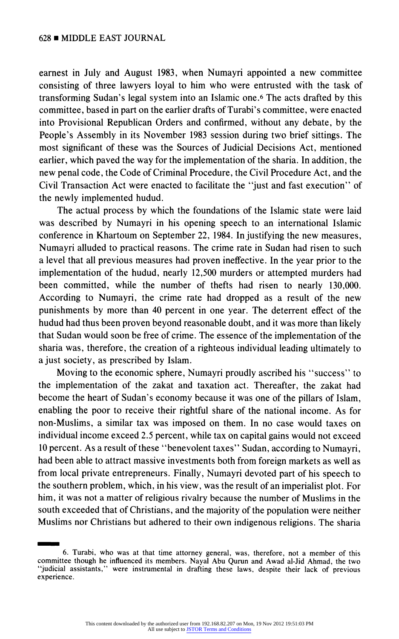#### **628 \* MIDDLE EAST JOURNAL**

**earnest in July and August 1983, when Numayri appointed a new committee consisting of three lawyers loyal to him who were entrusted with the task of transforming Sudan's legal system into an Islamic one.6 The acts drafted by this committee, based in part on the earlier drafts of Turabi's committee, were enacted into Provisional Republican Orders and confirmed, without any debate, by the People's Assembly in its November 1983 session during two brief sittings. The most significant of these was the Sources of Judicial Decisions Act, mentioned earlier, which paved the way for the implementation of the sharia. In addition, the new penal code, the Code of Criminal Procedure, the Civil Procedure Act, and the Civil Transaction Act were enacted to facilitate the "just and fast execution" of the newly implemented hudud.** 

**The actual process by which the foundations of the Islamic state were laid was described by Numayri in his opening speech to an international Islamic conference in Khartoum on September 22, 1984. In justifying the new measures, Numayri alluded to practical reasons. The crime rate in Sudan had risen to such a level that all previous measures had proven ineffective. In the year prior to the implementation of the hudud, nearly 12,500 murders or attempted murders had been committed, while the number of thefts had risen to nearly 130,000. According to Numayri, the crime rate had dropped as a result of the new punishments by more than 40 percent in one year. The deterrent effect of the hudud had thus been proven beyond reasonable doubt, and it was more than likely that Sudan would soon be free of crime. The essence of the implementation of the sharia was, therefore, the creation of a righteous individual leading ultimately to a just society, as prescribed by Islam.** 

**Moving to the economic sphere, Numayri proudly ascribed his "success" to the implementation of the zakat and taxation act. Thereafter, the zakat had become the heart of Sudan's economy because it was one of the pillars of Islam, enabling the poor to receive their rightful share of the national income. As for non-Muslims, a similar tax was imposed on them. In no case would taxes on individual income exceed 2.5 percent, while tax on capital gains would not exceed 10 percent. As a result of these "benevolent taxes" Sudan, according to Numayri, had been able to attract massive investments both from foreign markets as well as from local private entrepreneurs. Finally, Numayri devoted part of his speech to the southern problem, which, in his view, was the result of an imperialist plot. For him, it was not a matter of religious rivalry because the number of Muslims in the south exceeded that of Christians, and the majority of the population were neither Muslims nor Christians but adhered to their own indigenous religions. The sharia** 

**<sup>6.</sup> Turabi, who was at that time attorney general, was, therefore, not a member of this committee though he influenced its members. Nayal Abu Qurun and Awad al-Jid Ahmad, the two "judicial assistants," were instrumental in drafting these laws, despite their lack of previous experience.**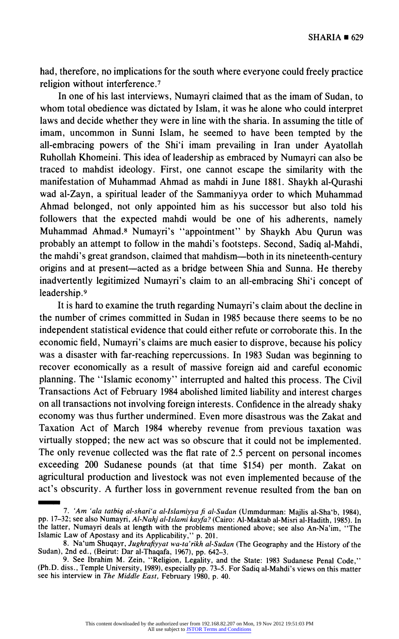**had, therefore, no implications for the south where everyone could freely practice religion without interference.7** 

**In one of his last interviews, Numayri claimed that as the imam of Sudan, to whom total obedience was dictated by Islam, it was he alone who could interpret laws and decide whether they were in line with the sharia. In assuming the title of imam, uncommon in Sunni Islam, he seemed to have been tempted by the all-embracing powers of the Shi'i imam prevailing in Iran under Ayatollah Ruhollah Khomeini. This idea of leadership as embraced by Numayri can also be traced to mahdist ideology. First, one cannot escape the similarity with the manifestation of Muhammad Ahmad as mahdi in June 1881. Shaykh al-Qurashi wad al-Zayn, a spiritual leader of the Sammaniyya order to which Muhammad Ahmad belonged, not only appointed him as his successor but also told his followers that the expected mahdi would be one of his adherents, namely Muhammad Ahmad.8 Numayri's "appointment" by Shaykh Abu Qurun was probably an attempt to follow in the mahdi's footsteps. Second, Sadiq al-Mahdi, the mahdi's great grandson, claimed that mahdism-both in its nineteenth-century origins and at present-acted as a bridge between Shia and Sunna. He thereby inadvertently legitimized Numayri's claim to an all-embracing Shi'i concept of leadership.9** 

**It is hard to examine the truth regarding Numayri's claim about the decline in the number of crimes committed in Sudan in 1985 because there seems to be no independent statistical evidence that could either refute or corroborate this. In the economic field, Numayri's claims are much easier to disprove, because his policy was a disaster with far-reaching repercussions. In 1983 Sudan was beginning to recover economically as a result of massive foreign aid and careful economic planning. The "Islamic economy" interrupted and halted this process. The Civil Transactions Act of February 1984 abolished limited liability and interest charges on all transactions not involving foreign interests. Confidence in the already shaky economy was thus further undermined. Even more disastrous was the Zakat and Taxation Act of March 1984 whereby revenue from previous taxation was virtually stopped; the new act was so obscure that it could not be implemented. The only revenue collected was the flat rate of 2.5 percent on personal incomes exceeding 200 Sudanese pounds (at that time \$154) per month. Zakat on agricultural production and livestock was not even implemented because of the act's obscurity. A further loss in government revenue resulted from the ban on** 

**<sup>7. &#</sup>x27;Am 'ala tatbiq al-shari'a al-Islamiyya fi al-Sudan (Ummdurman: Majlis al-Sha'b, 1984), pp. 17-32; see also Numayri, Al-Nahj al-Islami kayfa? (Cairo: Al-Maktab al-Misri al-Hadith, 1985). In the latter, Numayri deals at length with the problems mentioned above; see also An-Na'im, "The Islamic Law of Apostasy and its Applicability," p. 201.** 

**<sup>8.</sup> Na'um Shuqayr, Jughrafiyyat wa-ta'rikh al-Sudan (The Geography and the History of the Sudan), 2nd ed., (Beirut: Dar al-Thaqafa, 1967), pp. 642-3.** 

**<sup>9.</sup> See Ibrahim M. Zein, "Religion, Legality, and the State: 1983 Sudanese Penal Code," (Ph.D. diss., Temple University, 1989), especially pp. 73-5. For Sadiq al-Mahdi's views on this matter see his interview in The Middle East, February 1980, p. 40.**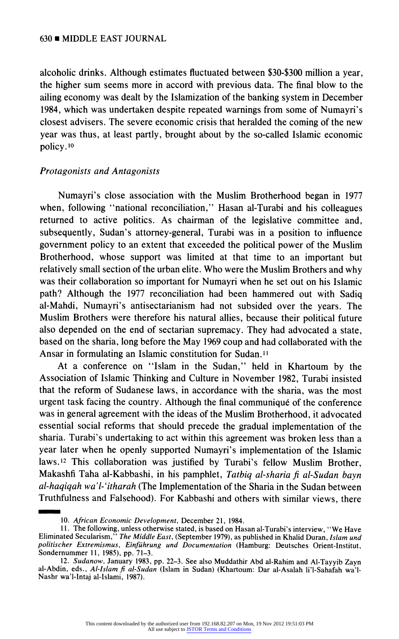#### **630 \* MIDDLE EAST JOURNAL**

**alcoholic drinks. Although estimates fluctuated between \$30-\$300 million a year, the higher sum seems more in accord with previous data. The final blow to the ailing economy was dealt by the Islamization of the banking system in December 1984, which was undertaken despite repeated warnings from some of Numayri's closest advisers. The severe economic crisis that heralded the coming of the new year was thus, at least partly, brought about by the so-called Islamic economic policy. 10** 

## **Protagonists and Antagonists**

**Numayri's close association with the Muslim Brotherhood began in 1977 when, following "national reconciliation," Hasan al-Turabi and his colleagues returned to active politics. As chairman of the legislative committee and, subsequently, Sudan's attorney-general, Turabi was in a position to influence government policy to an extent that exceeded the political power of the Muslim Brotherhood, whose support was limited at that time to an important but relatively small section of the urban elite. Who were the Muslim Brothers and why was their collaboration so important for Numayri when he set out on his Islamic path? Although the 1977 reconciliation had been hammered out with Sadiq al-Mahdi, Numayri's antisectarianism had not subsided over the years. The Muslim Brothers were therefore his natural allies, because their political future also depended on the end of sectarian supremacy. They had advocated a state, based on the sharia, long before the May 1969 coup and had collaborated with the Ansar in formulating an Islamic constitution for Sudan.l"** 

**At a conference on "Islam in the Sudan," held in Khartoum by the Association of Islamic Thinking and Culture in November 1982, Turabi insisted that the reform of Sudanese laws, in accordance with the sharia, was the most urgent task facing the country. Although the final communique of the conference was in general agreement with the ideas of the Muslim Brotherhood, it advocated essential social reforms that should precede the gradual implementation of the sharia. Turabi's undertaking to act within this agreement was broken less than a year later when he openly supported Numayri's implementation of the Islamic laws.12 This collaboration was justified by Turabi's fellow Muslim Brother, Makashfi Taha al-Kabbashi, in his pamphlet, Tatbiq al-sharia fi al-Sudan bayn al-haqiqah wa'l-'itharah (The Implementation of the Sharia in the Sudan between Truthfulness and Falsehood). For Kabbashi and others with similar views, there** 

**<sup>10.</sup> African Economic Development, December 21, 1984.** 

**<sup>11.</sup> The following, unless otherwise stated, is based on Hasan al-Turabi's interview, "We Have Eliminated Secularism," The Middle East, (September 1979), as published in Khalid Duran, Islam und politischer Extremismus, Einfuhrung und Documentation (Hamburg: Deutsches Orient-Institut, Sondernummer 11, 1985), pp. 71-3.** 

**<sup>12.</sup> Sudanow, January 1983, pp. 22-3. See also Muddathir Abd al-Rahim and Al-Tayyib Zayn al-Abdin, eds., Al-Islam fi al-Sudan (Islam in Sudan) (Khartoum: Dar al-Asalah li'l-Sahafah wa'l-Nashr wa'l-Intaj al-Islami, 1987).**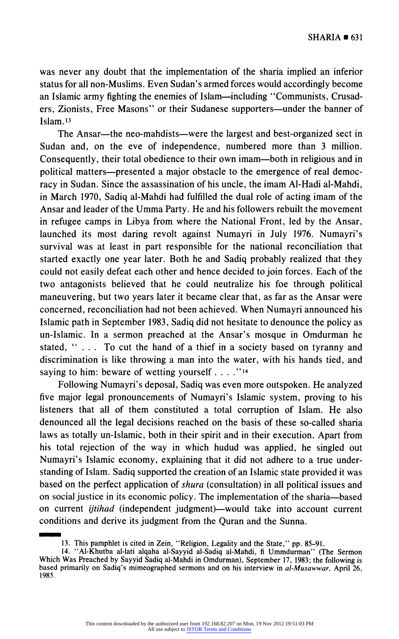**was never any doubt that the implementation of the sharia implied an inferior status for all non-Muslims. Even Sudan's armed forces would accordingly become an Islamic army fighting the enemies of Islam-including "Communists, Crusaders, Zionists, Free Masons" or their Sudanese supporters-under the banner of Islam. 13** 

The Ansar—the neo-mahdists—were the largest and best-organized sect in **Sudan and, on the eve of independence, numbered more than 3 million. Consequently, their total obedience to their own imam-both in religious and in political matters-presented a major obstacle to the emergence of real democracy in Sudan. Since the assassination of his uncle, the imam Al-Hadi al-Mahdi, in March 1970, Sadiq al-Mahdi had fulfilled the dual role of acting imam of the Ansar and leader of the Umma Party. He and his followers rebuilt the movement in refugee camps in Libya from where the National Front, led by the Ansar, launched its most daring revolt against Numayri in July 1976. Numayri's survival was at least in part responsible for the national reconciliation that started exactly one year later. Both he and Sadiq probably realized that they could not easily defeat each other and hence decided to join forces. Each of the two antagonists believed that he could neutralize his foe through political maneuvering, but two years later it became clear that, as far as the Ansar were concerned, reconciliation had not been achieved. When Numayri announced his Islamic path in September 1983, Sadiq did not hesitate to denounce the policy as un-Islamic. In a sermon preached at the Ansar's mosque in Omdurman he stated, " . . . To cut the hand of a thief in a society based on tyranny and discrimination is like throwing a man into the water, with his hands tied, and saying to him: beware of wetting yourself ...."14** 

**Following Numayri's deposal, Sadiq was even more outspoken. He analyzed five major legal pronouncements of Numayri's Islamic system, proving to his listeners that all of them constituted a total corruption of Islam. He also denounced all the legal decisions reached on the basis of these so-called sharia laws as totally un-Islamic, both in their spirit and in their execution. Apart from his total rejection of the way in which hudud was applied, he singled out Numayri's Islamic economy, explaining that it did not adhere to a true understanding of Islam. Sadiq supported the creation of an Islamic state provided it was based on the perfect application of shura (consultation) in all political issues and on social justice in its economic policy. The implementation of the sharia-based**  on current *ijtihad* (independent judgment)—would take into account current **conditions and derive its judgment from the Quran and the Sunna.** 

**<sup>13.</sup> This pamphlet is cited in Zein, "Religion, Legality and the State," pp. 85-91.** 

**<sup>14. &</sup>quot;Al-Khutba al-lati alqaha al-Sayyid al-Sadiq al-Mahdi, fi Ummdurman" (The Sermon Which Was Preached by Sayyid Sadiq al-Mahdi in Omdurman), September 17, 1983; the following is based primarily on Sadiq's mimeographed sermons and on his interview in al-Musawwar, April 26, 1985.**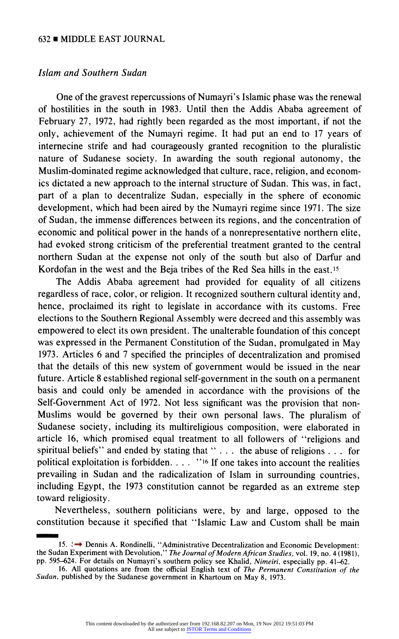#### **632 \* MIDDLE EAST JOURNAL**

## **Islam and Southern Sudan**

**One of the gravest repercussions of Numayri's Islamic phase was the renewal of hostilities in the south in 1983. Until then the Addis Ababa agreement of February 27, 1972, had rightly been regarded as the most important, if not the only, achievement of the Numayri regime. It had put an end to 17 years of internecine strife and had courageously granted recognition to the pluralistic nature of Sudanese society. In awarding the south regional autonomy, the Muslim-dominated regime acknowledged that culture, race, religion, and economics dictated a new approach to the internal structure of Sudan. This was, in fact, part of a plan to decentralize Sudan, especially in the sphere of economic development, which had been aired by the Numayri regime since 1971. The size of Sudan, the immense differences between its regions, and the concentration of economic and political power in the hands of a nonrepresentative northern elite, had evoked strong criticism of the preferential treatment granted to the central northern Sudan at the expense not only of the south but also of Darfur and Kordofan in the west and the Beja tribes of the Red Sea hills in the east.15** 

**The Addis Ababa agreement had provided for equality of all citizens regardless of race, color, or religion. It recognized southern cultural identity and, hence, proclaimed its right to legislate in accordance with its customs. Free elections to the Southern Regional Assembly were decreed and this assembly was empowered to elect its own president. The unalterable foundation of this concept was expressed in the Permanent Constitution of the Sudan, promulgated in May 1973. Articles 6 and 7 specified the principles of decentralization and promised that the details of this new system of government would be issued in the near future. Article 8 established regional self-government in the south on a permanent basis and could only be amended in accordance with the provisions of the Self-Government Act of 1972. Not less significant was the provision that non-Muslims would be governed by their own personal laws. The pluralism of Sudanese society, including its multireligious composition, were elaborated in article 16, which promised equal treatment to all followers of "religions and spiritual beliefs" and ended by stating that " . . . the abuse of religions . . . for political exploitation is forbidden. . . "16 If one takes into account the realities prevailing in Sudan and the radicalization of Islam in surrounding countries, including Egypt, the 1973 constitution cannot be regarded as an extreme step toward religiosity.** 

**Nevertheless, southern politicians were, by and large, opposed to the constitution because it specified that "Islamic Law and Custom shall be main** 

**<sup>15. ↓</sup> Dennis A. Rondinelli, "Administrative Decentralization and Economic Development: the Sudan Experiment with Devolution," The Journal of Modern African Studies, vol. 19, no. 4 (1981), pp. 595-624. For details on Numayri's southern policy see Khalid, Nimeiri, especially pp. 41-62.** 

**<sup>16.</sup> All quotations are from the official English text of The Permanent Constitution of the Sudan, published by the Sudanese government in Khartoum on May 8, 1973.**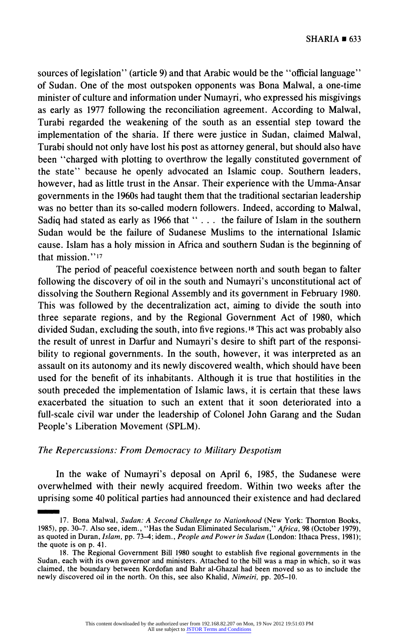**sources of legislation" (article 9) and that Arabic would be the "official language" of Sudan. One of the most outspoken opponents was Bona Malwal, a one-time minister of culture and information under Numayri, who expressed his misgivings as early as 1977 following the reconciliation agreement. According to Malwal, Turabi regarded the weakening of the south as an essential step toward the implementation of the sharia. If there were justice in Sudan, claimed Malwal, Turabi should not only have lost his post as attorney general, but should also have been "charged with plotting to overthrow the legally constituted government of the state" because he openly advocated an Islamic coup. Southern leaders, however, had as little trust in the Ansar. Their experience with the Umma-Ansar governments in the 1960s had taught them that the traditional sectarian leadership was no better than its so-called modern followers. Indeed, according to Malwal, Sadiq had stated as early as 1966 that " ... the failure of Islam in the southern Sudan would be the failure of Sudanese Muslims to the international Islamic cause. Islam has a holy mission in Africa and southern Sudan is the beginning of that mission. "17** 

**The period of peaceful coexistence between north and south began to falter following the discovery of oil in the south and Numayri's unconstitutional act of dissolving the Southern Regional Assembly and its government in February 1980. This was followed by the decentralization act, aiming to divide the south into three separate regions, and by the Regional Government Act of 1980, which divided Sudan, excluding the south, into five regions. 18 This act was probably also the result of unrest in Darfur and Numayri's desire to shift part of the responsibility to regional governments. In the south, however, it was interpreted as an assault on its autonomy and its newly discovered wealth, which should have been used for the benefit of its inhabitants. Although it is true that hostilities in the south preceded the implementation of Islamic laws, it is certain that these laws exacerbated the situation to such an extent that it soon deteriorated into a full-scale civil war under the leadership of Colonel John Garang and the Sudan People's Liberation Movement (SPLM).** 

# **The Repercussions: From Democracy to Military Despotism**

**In the wake of Numayri's deposal on April 6, 1985, the Sudanese were overwhelmed with their newly acquired freedom. Within two weeks after the uprising some 40 political parties had announced their existence and had declared** 

**<sup>17.</sup> Bona Malwal, Sudan: A Second Challenge to Nationhood (New York: Thornton Books, 1985), pp. 30-7. Also see, idem., "Has the Sudan Eliminated Secularism," Africa, 98 (October 1979), as quoted in Duran, Islam, pp. 73-4; idem., People and Power in Sudan (London: Ithaca Press, 1981); the quote is on p. 41.** 

**<sup>18.</sup> The Regional Government Bill 1980 sought to establish five regional governments in the Sudan, each with its own governor and ministers. Attached to the bill was a map in which, so it was claimed, the boundary between Kordofan and Bahr al-Ghazal had been moved so as to include the newly discovered oil in the north. On this, see also Khalid, Nimeiri, pp. 205-10.**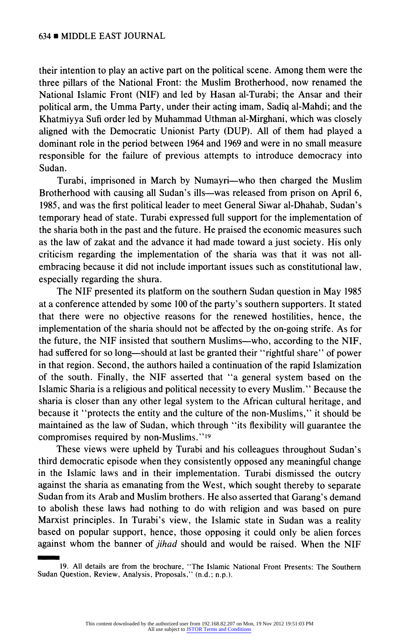**their intention to play an active part on the political scene. Among them were the three pillars of the National Front: the Muslim Brotherhood, now renamed the National Islamic Front (NIF) and led by Hasan al-Turabi; the Ansar and their political arm, the Umma Party, under their acting imam, Sadiq al-Mahdi; and the Khatmiyya Sufi order led by Muhammad Uthman al-Mirghani, which was closely aligned with the Democratic Unionist Party (DUP). All of them had played a dominant role in the period between 1964 and 1969 and were in no small measure responsible for the failure of previous attempts to introduce democracy into Sudan.** 

**Turabi, imprisoned in March by Numayri-who then charged the Muslim**  Brotherhood with causing all Sudan's ills--was released from prison on April 6, **1985, and was the first political leader to meet General Siwar al-Dhahab, Sudan's temporary head of state. Turabi expressed full support for the implementation of the sharia both in the past and the future. He praised the economic measures such as the law of zakat and the advance it had made toward a just society. His only criticism regarding the implementation of the sharia was that it was not allembracing because it did not include important issues such as constitutional law, especially regarding the shura.** 

**The NIF presented its platform on the southern Sudan question in May 1985 at a conference attended by some 100 of the party's southern supporters. It stated that there were no objective reasons for the renewed hostilities, hence, the implementation of the sharia should not be affected by the on-going strife. As for the future, the NIF insisted that southern Muslims-who, according to the NIF, had suffered for so long-should at last be granted their "rightful share" of power in that region. Second, the authors hailed a continuation of the rapid Islamization of the south. Finally, the NIF asserted that "a general system based on the Islamic Sharia is a religious and political necessity to every Muslim." Because the sharia is closer than any other legal system to the African cultural heritage, and because it "protects the entity and the culture of the non-Muslims," it should be maintained as the law of Sudan, which through "its flexibility will guarantee the compromises required by non-Muslims."19** 

**These views were upheld by Turabi and his colleagues throughout Sudan's third democratic episode when they consistently opposed any meaningful change in the Islamic laws and in their implementation. Turabi dismissed the outcry against the sharia as emanating from the West, which sought thereby to separate Sudan from its Arab and Muslim brothers. He also asserted that Garang's demand to abolish these laws had nothing to do with religion and was based on pure Marxist principles. In Turabi's view, the Islamic state in Sudan was a reality based on popular support, hence, those opposing it could only be alien forces against whom the banner of jihad should and would be raised. When the NIF** 

**<sup>19.</sup> All details are from the brochure, "The Islamic National Front Presents: The Southern Sudan Question, Review, Analysis, Proposals," (n.d.; n.p.).**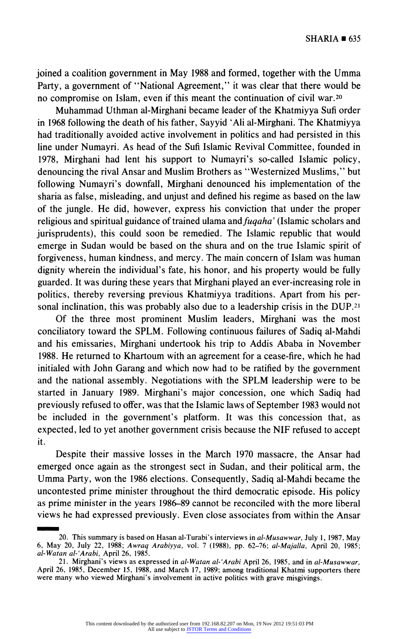**joined a coalition government in May 1988 and formed, together with the Umma**  Party, a government of "National Agreement," it was clear that there would be **no compromise on Islam, even if this meant the continuation of civil war.20** 

**Muhammad Uthman al-Mirghani became leader of the Khatmiyya Sufi order in 1968 following the death of his father, Sayyid 'Ali al-Mirghani. The Khatmiyya had traditionally avoided active involvement in politics and had persisted in this line under Numayri. As head of the Sufi Islamic Revival Committee, founded in 1978, Mirghani had lent his support to Numayri's so-called Islamic policy, denouncing the rival Ansar and Muslim Brothers as "Westernized Muslims," but following Numayri's downfall, Mirghani denounced his implementation of the sharia as false, misleading, and unjust and defined his regime as based on the law of the jungle. He did, however, express his conviction that under the proper**  religious and spiritual guidance of trained ulama and *fuqaha'* (Islamic scholars and **jurisprudents), this could soon be remedied. The Islamic republic that would emerge in Sudan would be based on the shura and on the true Islamic spirit of forgiveness, human kindness, and mercy. The main concern of Islam was human dignity wherein the individual's fate, his honor, and his property would be fully guarded. It was during these years that Mirghani played an ever-increasing role in politics, thereby reversing previous Khatmiyya traditions. Apart from his personal inclination, this was probably also due to a leadership crisis in the DUP.21** 

**Of the three most prominent Muslim leaders, Mirghani was the most conciliatory toward the SPLM. Following continuous failures of Sadiq al-Mahdi and his emissaries, Mirghani undertook his trip to Addis Ababa in November 1988. He returned to Khartoum with an agreement for a cease-fire, which he had initialed with John Garang and which now had to be ratified by the government and the national assembly. Negotiations with the SPLM leadership were to be started in January 1989. Mirghani's major concession, one which Sadiq had previously refused to offer, was that the Islamic laws of September 1983 would not be included in the government's platform. It was this concession that, as expected, led to yet another government crisis because the NIF refused to accept it.** 

**Despite their massive losses in the March 1970 massacre, the Ansar had emerged once again as the strongest sect in Sudan, and their political arm, the Umma Party, won the 1986 elections. Consequently, Sadiq al-Mahdi became the uncontested prime minister throughout the third democratic episode. His policy as prime minister in the years 1986-89 cannot be reconciled with the more liberal views he had expressed previously. Even close associates from within the Ansar** 

**<sup>20.</sup> This summary is based on Hasan al-Turabi's interviews in al-Musawwar, July 1, 1987, May 6, May 20, July 22, 1988; Awraq Arabiyya, vol. 7 (1988), pp. 62-76; al-Majalla, April 20, 1985; al-Watan al-'Arabi, April 26, 1985.** 

**<sup>21.</sup> Mirghani's views as expressed in al-Watan al-'Arabi April 26, 1985, and in al-Musawwar, April 26, 1985, December 15, 1988, and March 17, 1989; among traditional Khatmi supporters there were many who viewed Mirghani's involvement in active politics with grave misgivings.**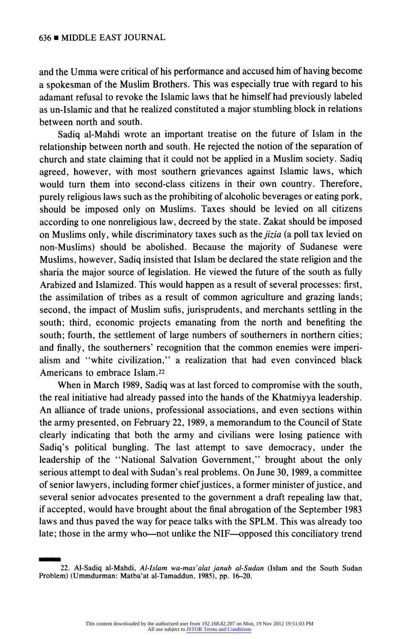**and the Umma were critical of his performance and accused him of having become a spokesman of the Muslim Brothers. This was especially true with regard to his adamant refusal to revoke the Islamic laws that he himself had previously labeled as un-Islamic and that he realized constituted a major stumbling block in relations between north and south.** 

**Sadiq al-Mahdi wrote an important treatise on the future of Islam in the relationship between north and south. He rejected the notion of the separation of church and state claiming that it could not be applied in a Muslim society. Sadiq agreed, however, with most southern grievances against Islamic laws, which would turn them into second-class citizens in their own country. Therefore, purely religious laws such as the prohibiting of alcoholic beverages or eating pork, should be imposed only on Muslims. Taxes should be levied on all citizens according to one nonreligious law, decreed by the state. Zakat should be imposed on Muslims only, while discriminatory taxes such as the jizia (a poll tax levied on non-Muslims) should be abolished. Because the majority of Sudanese were Muslims, however, Sadiq insisted that Islam be declared the state religion and the sharia the major source of legislation. He viewed the future of the south as fully Arabized and Islamized. This would happen as a result of several processes: first, the assimilation of tribes as a result of common agriculture and grazing lands; second, the impact of Muslim sufis, jurisprudents, and merchants settling in the south; third, economic projects emanating from the north and benefiting the south; fourth, the settlement of large numbers of southerners in northern cities; and finally, the southerners' recognition that the common enemies were imperialism and "white civilization," a realization that had even convinced black Americans to embrace Islam.22** 

**When in March 1989, Sadiq was at last forced to compromise with the south, the real initiative had already passed into the hands of the Khatmiyya leadership. An alliance of trade unions, professional associations, and even sections within the army presented, on February 22, 1989, a memorandum to the Council of State clearly indicating that both the army and civilians were losing patience with Sadiq's political bungling. The last attempt to save democracy, under the leadership of the "National Salvation Government," brought about the only serious attempt to deal with Sudan's real problems. On June 30, 1989, a committee of senior lawyers, including former chief justices, a former minister of justice, and several senior advocates presented to the government a draft repealing law that, if accepted, would have brought about the final abrogation of the September 1983 laws and thus paved the way for peace talks with the SPLM. This was already too**  late; those in the army who—not unlike the NIF—opposed this conciliatory trend

**<sup>22.</sup> Al-Sadiq al-Mahdi, Al-Islam wa-mas'alat janub al-Sudan (Islam and the South Sudan Problem) (Ummdurman: Matba'at al-Tamaddun, 1985), pp. 16-20.**